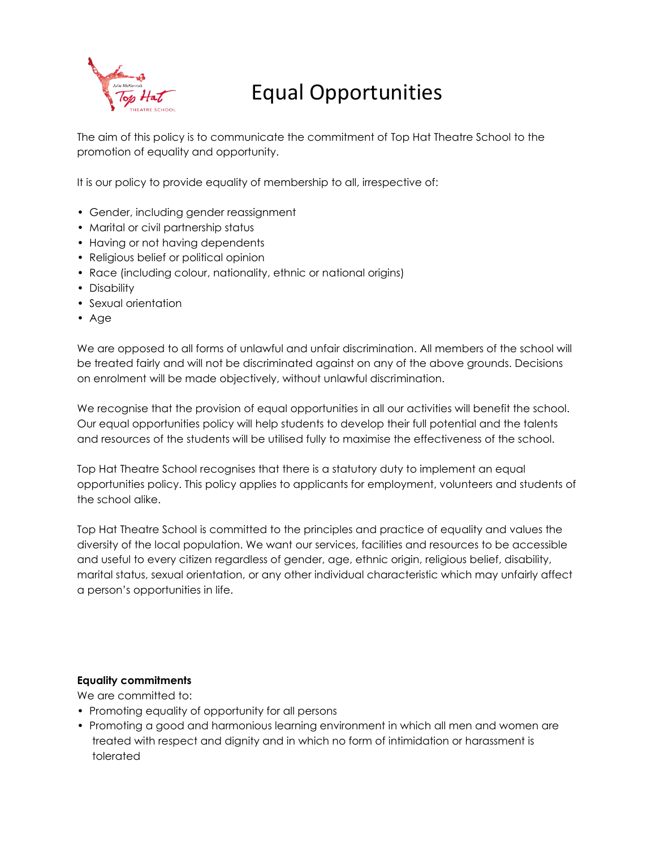

# Equal Opportunities

The aim of this policy is to communicate the commitment of Top Hat Theatre School to the promotion of equality and opportunity.

It is our policy to provide equality of membership to all, irrespective of:

- Gender, including gender reassignment
- Marital or civil partnership status
- Having or not having dependents
- Religious belief or political opinion
- Race (including colour, nationality, ethnic or national origins)
- Disability
- Sexual orientation
- Age

We are opposed to all forms of unlawful and unfair discrimination. All members of the school will be treated fairly and will not be discriminated against on any of the above grounds. Decisions on enrolment will be made objectively, without unlawful discrimination.

We recognise that the provision of equal opportunities in all our activities will benefit the school. Our equal opportunities policy will help students to develop their full potential and the talents and resources of the students will be utilised fully to maximise the effectiveness of the school.

Top Hat Theatre School recognises that there is a statutory duty to implement an equal opportunities policy. This policy applies to applicants for employment, volunteers and students of the school alike.

Top Hat Theatre School is committed to the principles and practice of equality and values the diversity of the local population. We want our services, facilities and resources to be accessible and useful to every citizen regardless of gender, age, ethnic origin, religious belief, disability, marital status, sexual orientation, or any other individual characteristic which may unfairly affect a person's opportunities in life.

# **Equality commitments**

We are committed to:

- Promoting equality of opportunity for all persons
- Promoting a good and harmonious learning environment in which all men and women are treated with respect and dignity and in which no form of intimidation or harassment is tolerated